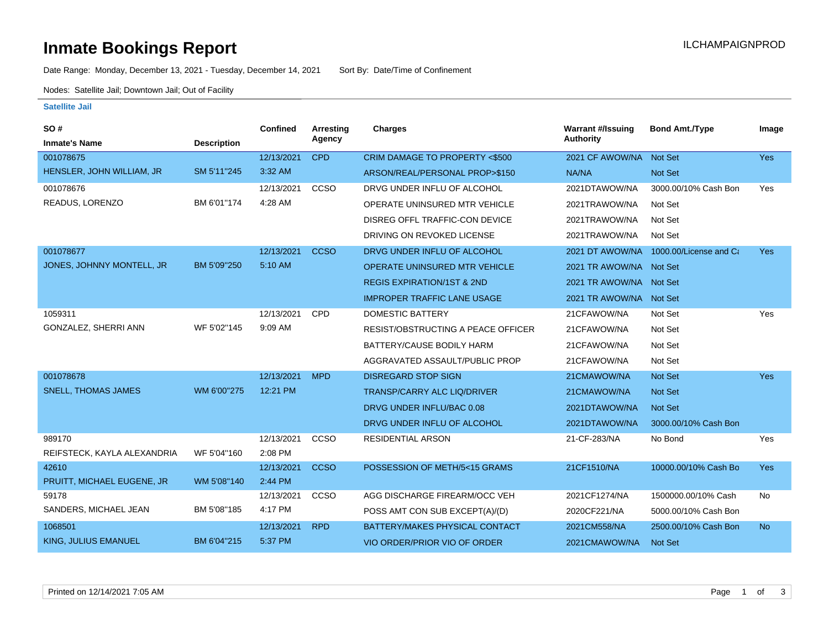# **Inmate Bookings Report Installation Control Control Control Control Control Control Control Control Control Control Control Control Control Control Control Control Control Control Control Control Control Control Control**

Date Range: Monday, December 13, 2021 - Tuesday, December 14, 2021 Sort By: Date/Time of Confinement

Nodes: Satellite Jail; Downtown Jail; Out of Facility

#### **Satellite Jail**

| SO#                         |                    | Confined   | Arresting   | <b>Charges</b>                            | <b>Warrant #/Issuing</b> | <b>Bond Amt./Type</b>  | Image      |
|-----------------------------|--------------------|------------|-------------|-------------------------------------------|--------------------------|------------------------|------------|
| <b>Inmate's Name</b>        | <b>Description</b> |            | Agency      |                                           | <b>Authority</b>         |                        |            |
| 001078675                   |                    | 12/13/2021 | <b>CPD</b>  | CRIM DAMAGE TO PROPERTY <\$500            | 2021 CF AWOW/NA          | Not Set                | <b>Yes</b> |
| HENSLER, JOHN WILLIAM, JR   | SM 5'11"245        | 3:32 AM    |             | ARSON/REAL/PERSONAL PROP>\$150            | NA/NA                    | <b>Not Set</b>         |            |
| 001078676                   |                    | 12/13/2021 | CCSO        | DRVG UNDER INFLU OF ALCOHOL               | 2021DTAWOW/NA            | 3000.00/10% Cash Bon   | Yes        |
| READUS, LORENZO             | BM 6'01"174        | 4:28 AM    |             | OPERATE UNINSURED MTR VEHICLE             | 2021TRAWOW/NA            | Not Set                |            |
|                             |                    |            |             | DISREG OFFL TRAFFIC-CON DEVICE            | 2021TRAWOW/NA            | Not Set                |            |
|                             |                    |            |             | DRIVING ON REVOKED LICENSE                | 2021TRAWOW/NA            | Not Set                |            |
| 001078677                   |                    | 12/13/2021 | <b>CCSO</b> | DRVG UNDER INFLU OF ALCOHOL               | 2021 DT AWOW/NA          | 1000.00/License and Ca | <b>Yes</b> |
| JONES, JOHNNY MONTELL, JR   | BM 5'09"250        | 5:10 AM    |             | <b>OPERATE UNINSURED MTR VEHICLE</b>      | 2021 TR AWOW/NA Not Set  |                        |            |
|                             |                    |            |             | <b>REGIS EXPIRATION/1ST &amp; 2ND</b>     | 2021 TR AWOW/NA Not Set  |                        |            |
|                             |                    |            |             | <b>IMPROPER TRAFFIC LANE USAGE</b>        | 2021 TR AWOW/NA Not Set  |                        |            |
| 1059311                     |                    | 12/13/2021 | <b>CPD</b>  | DOMESTIC BATTERY                          | 21CFAWOW/NA              | Not Set                | Yes        |
| GONZALEZ, SHERRI ANN        | WF 5'02"145        | 9:09 AM    |             | <b>RESIST/OBSTRUCTING A PEACE OFFICER</b> | 21CFAWOW/NA              | Not Set                |            |
|                             |                    |            |             | BATTERY/CAUSE BODILY HARM                 | 21CFAWOW/NA              | Not Set                |            |
|                             |                    |            |             | AGGRAVATED ASSAULT/PUBLIC PROP            | 21CFAWOW/NA              | Not Set                |            |
| 001078678                   |                    | 12/13/2021 | <b>MPD</b>  | <b>DISREGARD STOP SIGN</b>                | 21CMAWOW/NA              | <b>Not Set</b>         | <b>Yes</b> |
| <b>SNELL, THOMAS JAMES</b>  | WM 6'00"275        | 12:21 PM   |             | <b>TRANSP/CARRY ALC LIQ/DRIVER</b>        | 21CMAWOW/NA              | <b>Not Set</b>         |            |
|                             |                    |            |             | DRVG UNDER INFLU/BAC 0.08                 | 2021DTAWOW/NA            | Not Set                |            |
|                             |                    |            |             | DRVG UNDER INFLU OF ALCOHOL               | 2021DTAWOW/NA            | 3000.00/10% Cash Bon   |            |
| 989170                      |                    | 12/13/2021 | CCSO        | <b>RESIDENTIAL ARSON</b>                  | 21-CF-283/NA             | No Bond                | Yes        |
| REIFSTECK, KAYLA ALEXANDRIA | WF 5'04"160        | 2:08 PM    |             |                                           |                          |                        |            |
| 42610                       |                    | 12/13/2021 | <b>CCSO</b> | POSSESSION OF METH/5<15 GRAMS             | 21CF1510/NA              | 10000.00/10% Cash Bo   | Yes        |
| PRUITT, MICHAEL EUGENE, JR  | WM 5'08"140        | 2:44 PM    |             |                                           |                          |                        |            |
| 59178                       |                    | 12/13/2021 | CCSO        | AGG DISCHARGE FIREARM/OCC VEH             | 2021CF1274/NA            | 1500000.00/10% Cash    | No         |
| SANDERS, MICHAEL JEAN       | BM 5'08"185        | 4:17 PM    |             | POSS AMT CON SUB EXCEPT(A)/(D)            | 2020CF221/NA             | 5000.00/10% Cash Bon   |            |
| 1068501                     |                    | 12/13/2021 | <b>RPD</b>  | BATTERY/MAKES PHYSICAL CONTACT            | 2021CM558/NA             | 2500.00/10% Cash Bon   | <b>No</b>  |
| <b>KING, JULIUS EMANUEL</b> | BM 6'04"215        | 5:37 PM    |             | VIO ORDER/PRIOR VIO OF ORDER              | 2021CMAWOW/NA            | <b>Not Set</b>         |            |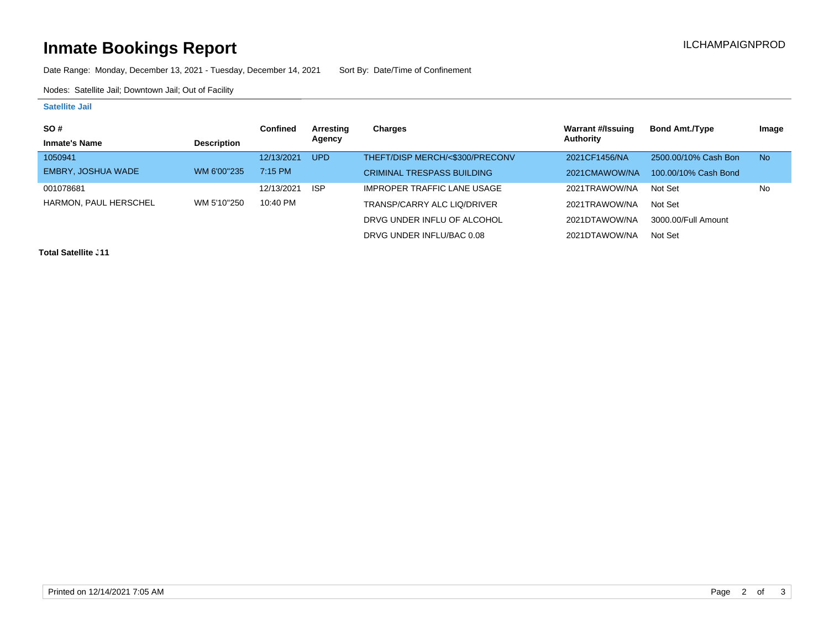# **Inmate Bookings Report Installation Control Control Control Control Control Control Control Control Control Control Control Control Control Control Control Control Control Control Control Control Control Control Control**

Date Range: Monday, December 13, 2021 - Tuesday, December 14, 2021 Sort By: Date/Time of Confinement

Nodes: Satellite Jail; Downtown Jail; Out of Facility

### **Satellite Jail**

| <b>SO#</b>            |                    | Confined   | Arresting  | Charges                            | <b>Warrant #/Issuing</b> | <b>Bond Amt./Type</b> | Image     |
|-----------------------|--------------------|------------|------------|------------------------------------|--------------------------|-----------------------|-----------|
| <b>Inmate's Name</b>  | <b>Description</b> |            | Agency     |                                    | Authority                |                       |           |
| 1050941               |                    | 12/13/2021 | <b>UPD</b> | THEFT/DISP MERCH/<\$300/PRECONV    | 2021CF1456/NA            | 2500.00/10% Cash Bon  | <b>No</b> |
| EMBRY, JOSHUA WADE    | WM 6'00"235        | 7:15 PM    |            | <b>CRIMINAL TRESPASS BUILDING</b>  | 2021CMAWOW/NA            | 100.00/10% Cash Bond  |           |
| 001078681             |                    | 12/13/2021 | <b>ISP</b> | <b>IMPROPER TRAFFIC LANE USAGE</b> | 2021TRAWOW/NA            | Not Set               | <b>No</b> |
| HARMON, PAUL HERSCHEL | WM 5'10"250        | 10:40 PM   |            | TRANSP/CARRY ALC LIQ/DRIVER        | 2021TRAWOW/NA            | Not Set               |           |
|                       |                    |            |            | DRVG UNDER INFLU OF ALCOHOL        | 2021DTAWOW/NA            | 3000.00/Full Amount   |           |
|                       |                    |            |            | DRVG UNDER INFLU/BAC 0.08          | 2021DTAWOW/NA            | Not Set               |           |

**Total Satellite J11**